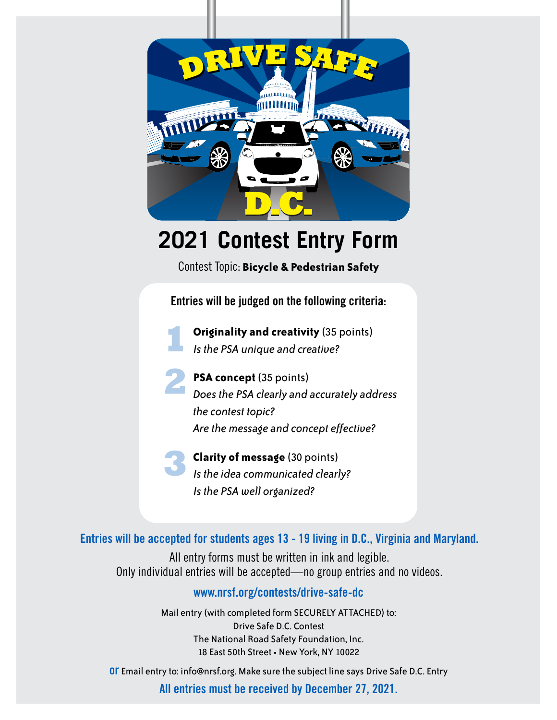

## **2021 Contest Entry Form**

Contest Topic: **Bicycle & Pedestrian Safety**

**Entries will be judged on the following criteria:**



**Originality and creativity** (35 points) *Is the PSA unique and creative?*



**PSA concept** (35 points) *Does the PSA clearly and accurately address the contest topic? Are the message and concept effective?*

**Clarity of message** (30 points) *Is the idea communicated clearly? Is the PSA well organized?* **3**

**Entries will be accepted for students ages 13 - 19 living in D.C., Virginia and Maryland.**

All entry forms must be written in ink and legible. Only individual entries will be accepted—no group entries and no videos.

## **www.nrsf.org/contests/drive-safe-dc**

Mail entry (with completed form SECURELY ATTACHED) to: Drive Safe D.C. Contest The National Road Safety Foundation, Inc. 18 East 50th Street • New York, NY 10022

**or** Email entry to: info@nrsf.org. Make sure the subject line says Drive Safe D.C. Entry

**All entries must be received by December 27, 2021.**